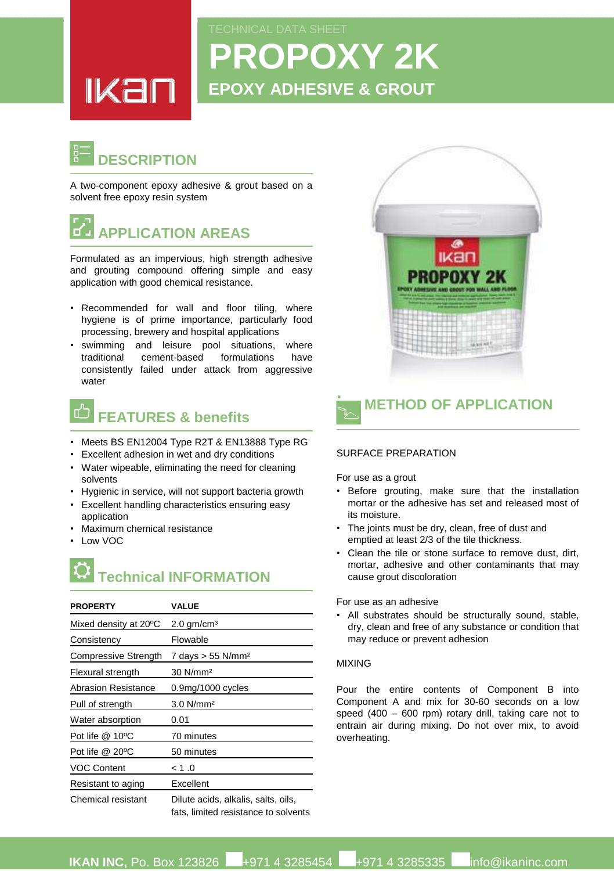# **PROPOXY 2K EPOXY ADHESIVE & GROUT**

### **DESCRIPTION**

<u>IKan</u>

A two-component epoxy adhesive & grout based on a solvent free epoxy resin system



Formulated as an impervious, high strength adhesive and grouting compound offering simple and easy application with good chemical resistance.

- Recommended for wall and floor tiling, where hygiene is of prime importance, particularly food processing, brewery and hospital applications
- swimming and leisure pool situations, where traditional cement-based formulations have consistently failed under attack from aggressive water

### **FEATURES & benefits**

- Meets BS EN12004 Type R2T & EN13888 Type RG
- Excellent adhesion in wet and dry conditions
- Water wipeable, eliminating the need for cleaning solvents
- Hygienic in service, will not support bacteria growth
- Excellent handling characteristics ensuring easy application
- Maximum chemical resistance
- Low VOC

## **Technical INFORMATION**

| <b>PROPERTY</b>       | <b>VALUE</b>                                                                |
|-----------------------|-----------------------------------------------------------------------------|
| Mixed density at 20°C | $2.0$ gm/cm <sup>3</sup>                                                    |
| Consistency           | Flowable                                                                    |
| Compressive Strength  | 7 days $> 55$ N/mm <sup>2</sup>                                             |
| Flexural strength     | $30$ N/mm <sup>2</sup>                                                      |
| Abrasion Resistance   | $0.9$ mg/1000 cycles                                                        |
| Pull of strength      | $3.0$ N/mm <sup>2</sup>                                                     |
| Water absorption      | 0.01                                                                        |
| Pot life $@$ 10 $°C$  | 70 minutes                                                                  |
| Pot life @ 20°C       | 50 minutes                                                                  |
| <b>VOC Content</b>    | 0. 1 >                                                                      |
| Resistant to aging    | Excellent                                                                   |
| Chemical resistant    | Dilute acids, alkalis, salts, oils,<br>fats. limited resistance to solvents |





#### SURFACE PREPARATION

For use as a grout

**.**

- Before grouting, make sure that the installation mortar or the adhesive has set and released most of its moisture.
- The joints must be dry, clean, free of dust and emptied at least 2/3 of the tile thickness.
- Clean the tile or stone surface to remove dust, dirt, mortar, adhesive and other contaminants that may cause grout discoloration

For use as an adhesive

• All substrates should be structurally sound, stable, dry, clean and free of any substance or condition that may reduce or prevent adhesion

#### MIXING

Pour the entire contents of Component B into Component A and mix for 30-60 seconds on a low speed (400 – 600 rpm) rotary drill, taking care not to entrain air during mixing. Do not over mix, to avoid overheating.